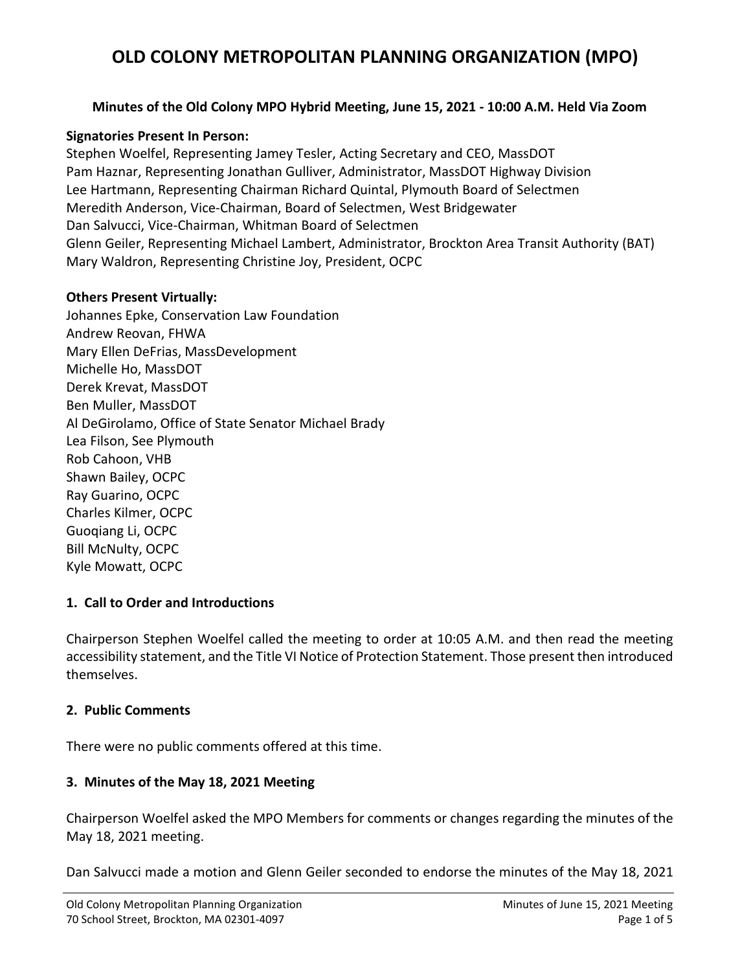#### **Minutes of the Old Colony MPO Hybrid Meeting, June 15, 2021 - 10:00 A.M. Held Via Zoom**

#### **Signatories Present In Person:**

Stephen Woelfel, Representing Jamey Tesler, Acting Secretary and CEO, MassDOT Pam Haznar, Representing Jonathan Gulliver, Administrator, MassDOT Highway Division Lee Hartmann, Representing Chairman Richard Quintal, Plymouth Board of Selectmen Meredith Anderson, Vice-Chairman, Board of Selectmen, West Bridgewater Dan Salvucci, Vice-Chairman, Whitman Board of Selectmen Glenn Geiler, Representing Michael Lambert, Administrator, Brockton Area Transit Authority (BAT) Mary Waldron, Representing Christine Joy, President, OCPC

#### **Others Present Virtually:**

Johannes Epke, Conservation Law Foundation Andrew Reovan, FHWA Mary Ellen DeFrias, MassDevelopment Michelle Ho, MassDOT Derek Krevat, MassDOT Ben Muller, MassDOT Al DeGirolamo, Office of State Senator Michael Brady Lea Filson, See Plymouth Rob Cahoon, VHB Shawn Bailey, OCPC Ray Guarino, OCPC Charles Kilmer, OCPC Guoqiang Li, OCPC Bill McNulty, OCPC Kyle Mowatt, OCPC

### **1. Call to Order and Introductions**

Chairperson Stephen Woelfel called the meeting to order at 10:05 A.M. and then read the meeting accessibility statement, and the Title VI Notice of Protection Statement. Those present then introduced themselves.

### **2. Public Comments**

There were no public comments offered at this time.

### **3. Minutes of the May 18, 2021 Meeting**

Chairperson Woelfel asked the MPO Members for comments or changes regarding the minutes of the May 18, 2021 meeting.

Dan Salvucci made a motion and Glenn Geiler seconded to endorse the minutes of the May 18, 2021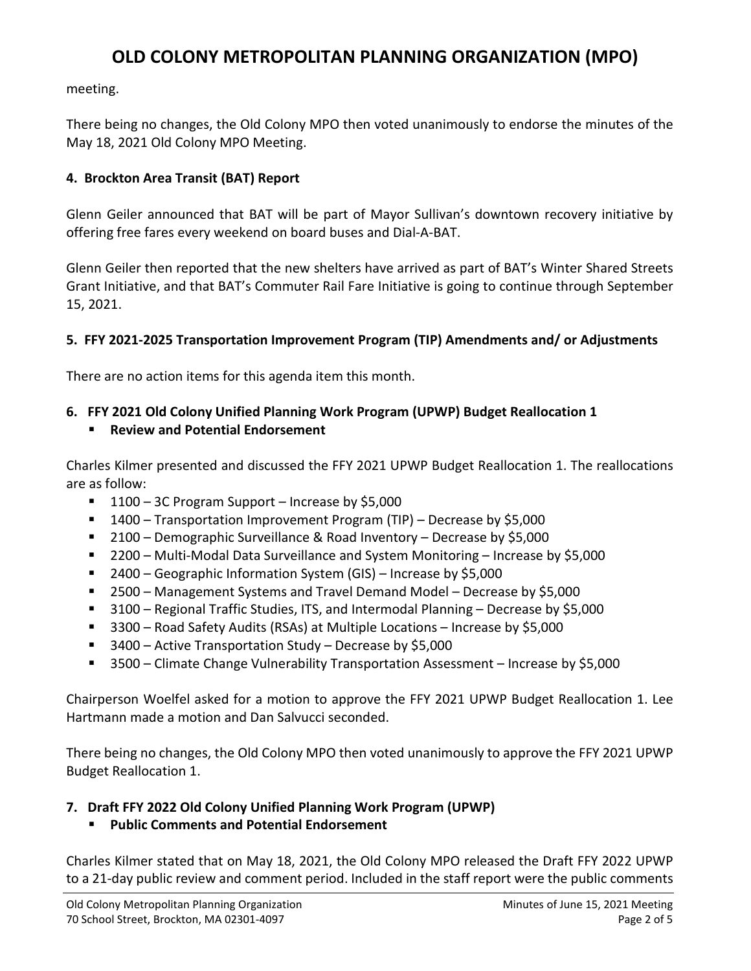meeting.

There being no changes, the Old Colony MPO then voted unanimously to endorse the minutes of the May 18, 2021 Old Colony MPO Meeting.

#### **4. Brockton Area Transit (BAT) Report**

Glenn Geiler announced that BAT will be part of Mayor Sullivan's downtown recovery initiative by offering free fares every weekend on board buses and Dial-A-BAT.

Glenn Geiler then reported that the new shelters have arrived as part of BAT's Winter Shared Streets Grant Initiative, and that BAT's Commuter Rail Fare Initiative is going to continue through September 15, 2021.

#### **5. FFY 2021-2025 Transportation Improvement Program (TIP) Amendments and/ or Adjustments**

There are no action items for this agenda item this month.

### **6. FFY 2021 Old Colony Unified Planning Work Program (UPWP) Budget Reallocation 1**

### **Review and Potential Endorsement**

Charles Kilmer presented and discussed the FFY 2021 UPWP Budget Reallocation 1. The reallocations are as follow:

- $1100 3C$  Program Support Increase by \$5,000
- 1400 Transportation Improvement Program (TIP) Decrease by \$5,000
- 2100 Demographic Surveillance & Road Inventory Decrease by \$5,000
- 2200 Multi-Modal Data Surveillance and System Monitoring Increase by \$5,000
- 2400 Geographic Information System (GIS) Increase by \$5,000
- 2500 Management Systems and Travel Demand Model Decrease by \$5,000
- 3100 Regional Traffic Studies, ITS, and Intermodal Planning Decrease by \$5,000
- 3300 Road Safety Audits (RSAs) at Multiple Locations Increase by \$5,000
- 3400 Active Transportation Study Decrease by \$5,000
- 3500 Climate Change Vulnerability Transportation Assessment Increase by \$5,000

Chairperson Woelfel asked for a motion to approve the FFY 2021 UPWP Budget Reallocation 1. Lee Hartmann made a motion and Dan Salvucci seconded.

There being no changes, the Old Colony MPO then voted unanimously to approve the FFY 2021 UPWP Budget Reallocation 1.

### **7. Draft FFY 2022 Old Colony Unified Planning Work Program (UPWP)**

### **Public Comments and Potential Endorsement**

Charles Kilmer stated that on May 18, 2021, the Old Colony MPO released the Draft FFY 2022 UPWP to a 21-day public review and comment period. Included in the staff report were the public comments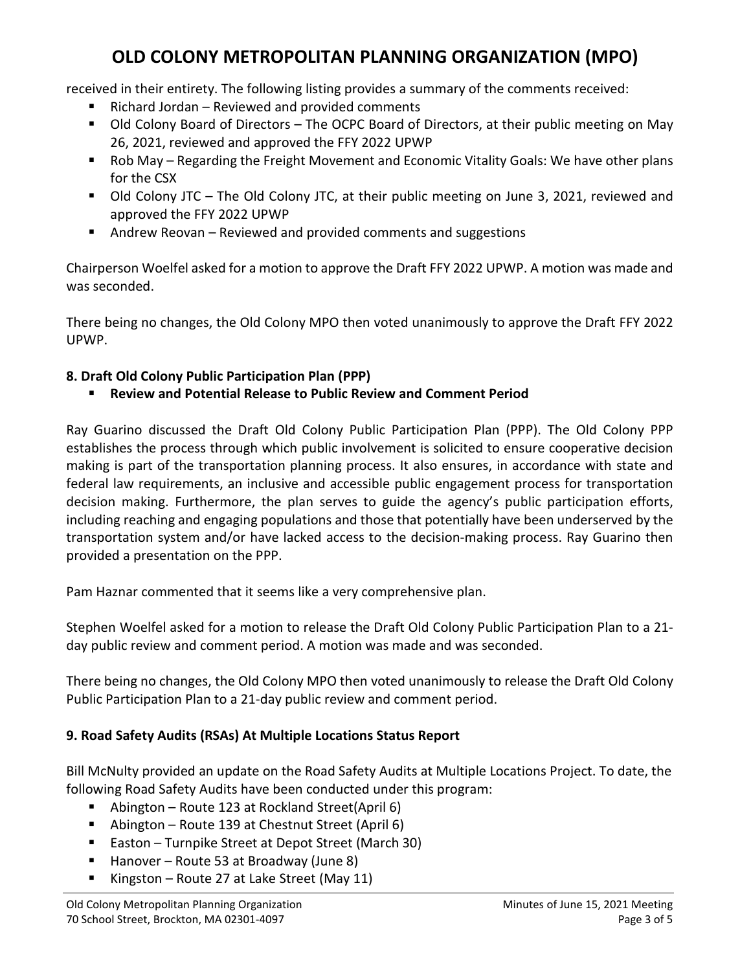received in their entirety. The following listing provides a summary of the comments received:

- Richard Jordan Reviewed and provided comments
- Old Colony Board of Directors The OCPC Board of Directors, at their public meeting on May 26, 2021, reviewed and approved the FFY 2022 UPWP
- Rob May Regarding the Freight Movement and Economic Vitality Goals: We have other plans for the CSX
- Old Colony JTC The Old Colony JTC, at their public meeting on June 3, 2021, reviewed and approved the FFY 2022 UPWP
- Andrew Reovan Reviewed and provided comments and suggestions

Chairperson Woelfel asked for a motion to approve the Draft FFY 2022 UPWP. A motion was made and was seconded.

There being no changes, the Old Colony MPO then voted unanimously to approve the Draft FFY 2022 UPWP.

### **8. Draft Old Colony Public Participation Plan (PPP)**

### **Review and Potential Release to Public Review and Comment Period**

Ray Guarino discussed the Draft Old Colony Public Participation Plan (PPP). The Old Colony PPP establishes the process through which public involvement is solicited to ensure cooperative decision making is part of the transportation planning process. It also ensures, in accordance with state and federal law requirements, an inclusive and accessible public engagement process for transportation decision making. Furthermore, the plan serves to guide the agency's public participation efforts, including reaching and engaging populations and those that potentially have been underserved by the transportation system and/or have lacked access to the decision-making process. Ray Guarino then provided a presentation on the PPP.

Pam Haznar commented that it seems like a very comprehensive plan.

Stephen Woelfel asked for a motion to release the Draft Old Colony Public Participation Plan to a 21 day public review and comment period. A motion was made and was seconded.

There being no changes, the Old Colony MPO then voted unanimously to release the Draft Old Colony Public Participation Plan to a 21-day public review and comment period.

### **9. Road Safety Audits (RSAs) At Multiple Locations Status Report**

Bill McNulty provided an update on the Road Safety Audits at Multiple Locations Project. To date, the following Road Safety Audits have been conducted under this program:

- Abington Route 123 at Rockland Street(April 6)
- Abington Route 139 at Chestnut Street (April 6)
- Easton Turnpike Street at Depot Street (March 30)
- $H$  Hanover Route 53 at Broadway (June 8)
- Kingston Route 27 at Lake Street (May 11)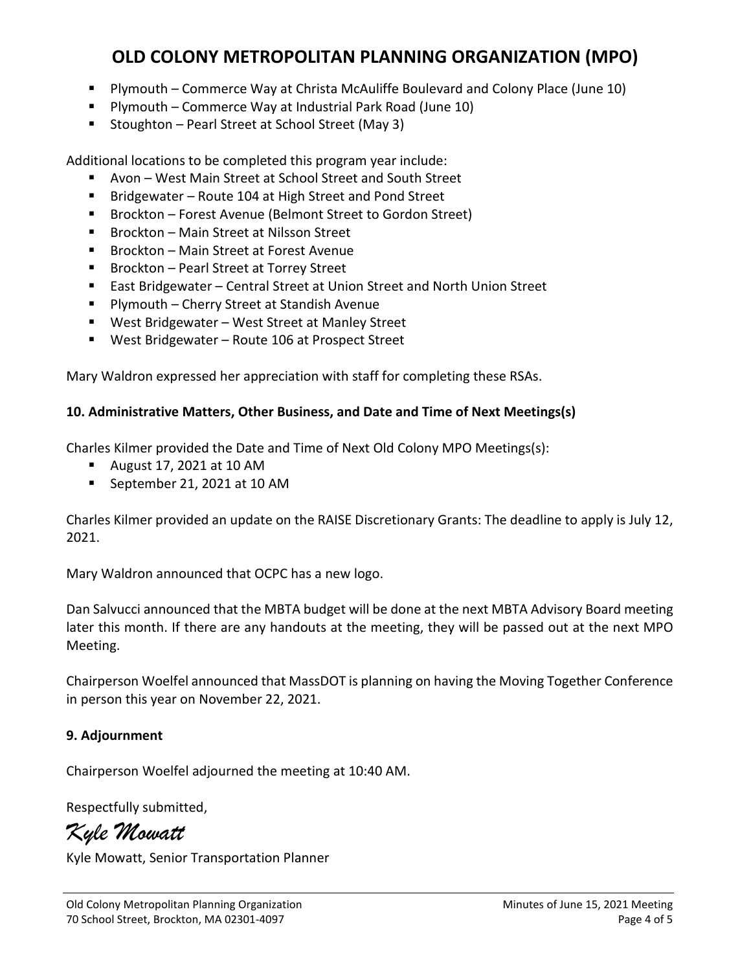- Plymouth Commerce Way at Christa McAuliffe Boulevard and Colony Place (June 10)
- Plymouth Commerce Way at Industrial Park Road (June 10)
- Stoughton Pearl Street at School Street (May 3)

Additional locations to be completed this program year include:

- Avon West Main Street at School Street and South Street
- Bridgewater Route 104 at High Street and Pond Street
- Brockton Forest Avenue (Belmont Street to Gordon Street)
- Brockton Main Street at Nilsson Street
- Brockton Main Street at Forest Avenue
- Brockton Pearl Street at Torrey Street
- East Bridgewater Central Street at Union Street and North Union Street
- Plymouth Cherry Street at Standish Avenue
- West Bridgewater West Street at Manley Street
- West Bridgewater Route 106 at Prospect Street

Mary Waldron expressed her appreciation with staff for completing these RSAs.

#### **10. Administrative Matters, Other Business, and Date and Time of Next Meetings(s)**

Charles Kilmer provided the Date and Time of Next Old Colony MPO Meetings(s):

- August 17, 2021 at 10 AM
- September 21, 2021 at 10 AM

Charles Kilmer provided an update on the RAISE Discretionary Grants: The deadline to apply is July 12, 2021.

Mary Waldron announced that OCPC has a new logo.

Dan Salvucci announced that the MBTA budget will be done at the next MBTA Advisory Board meeting later this month. If there are any handouts at the meeting, they will be passed out at the next MPO Meeting.

Chairperson Woelfel announced that MassDOT is planning on having the Moving Together Conference in person this year on November 22, 2021.

### **9. Adjournment**

Chairperson Woelfel adjourned the meeting at 10:40 AM.

Respectfully submitted,

*Kyle Mowatt*

Kyle Mowatt, Senior Transportation Planner